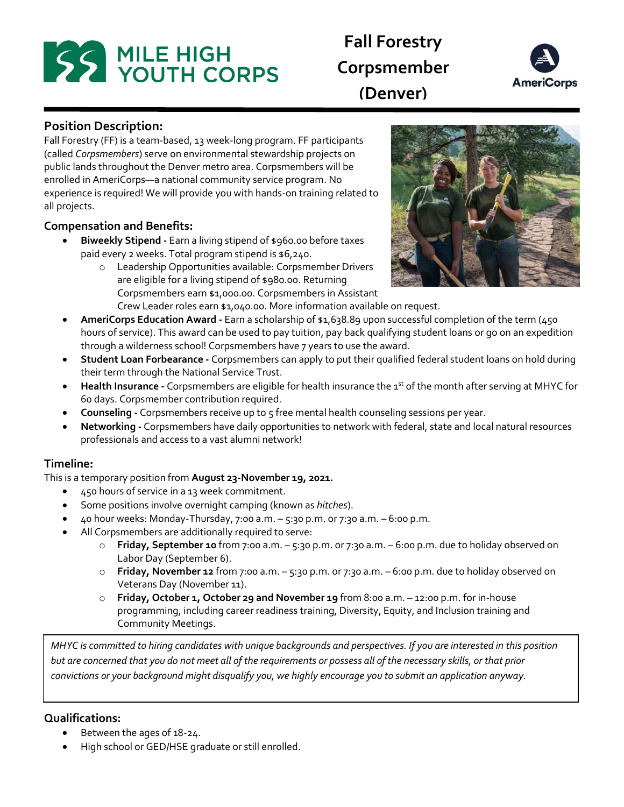# **SS MILE HIGH<br>READ YOUTH CORPS**

# **Fall Forestry Corpsmember (Denver)**



**Position Description:** 

Fall Forestry (FF) is a team-based, 13 week-long program. FF participants (called *Corpsmembers*) serve on environmental stewardship projects on public lands throughout the Denver metro area. Corpsmembers will be enrolled in AmeriCorps—a national community service program. No experience is required! We will provide you with hands-on training related to all projects.

# **Compensation and Benefits:**

- **Biweekly Stipend -** Earn a living stipend of \$960.00 before taxes paid every 2 weeks. Total program stipend is \$6,240.
	- o Leadership Opportunities available: Corpsmember Drivers are eligible for a living stipend of \$980.00. Returning Corpsmembers earn \$1,000.00. Corpsmembers in Assistant Crew Leader roles earn \$1,040.00. More information available on request.



- **AmeriCorps Education Award** Earn a scholarship of \$1,638.89 upon successful completion of the term (450) hours of service). This award can be used to pay tuition, pay back qualifying student loans or go on an expedition through a wilderness school! Corpsmembers have 7 years to use the award.
- **Student Loan Forbearance -** Corpsmembers can apply to put their qualified federal student loans on hold during their term through the National Service Trust.
- **Health Insurance** Corpsmembers are eligible for health insurance the 1<sup>st</sup> of the month after serving at MHYC for 60 days. Corpsmember contribution required.
- **Counseling -** Corpsmembers receive up to 5 free mental health counseling sessions per year.
- **Networking -** Corpsmembers have daily opportunities to network with federal, state and local natural resources professionals and access to a vast alumni network!

## **Timeline:**

This is a temporary position from **August 23-November 19, 2021.**

- 450 hours of service in a 13 week commitment.
- Some positions involve overnight camping (known as *hitches*).
- $\bullet$  40 hour weeks: Monday-Thursday, 7:00 a.m.  $-$  5:30 p.m. or 7:30 a.m.  $-$  6:00 p.m.
- All Corpsmembers are additionally required to serve:
	- o **Friday, September 10** from 7:00 a.m. 5:30 p.m. or 7:30 a.m. 6:00 p.m. due to holiday observed on Labor Day (September 6).
	- o **Friday, November 12** from 7:00 a.m. 5:30 p.m. or 7:30 a.m. 6:00 p.m. due to holiday observed on Veterans Day (November 11).
	- o **Friday, October 1, October 29 and November 19** from 8:00 a.m. 12:00 p.m. for in-house programming, including career readiness training, Diversity, Equity, and Inclusion training and Community Meetings.

*MHYC is committed to hiring candidates with unique backgrounds and perspectives. If you are interested in this position but are concerned that you do not meet all of the requirements or possess all of the necessary skills, or that prior convictions or your background might disqualify you, we highly encourage you to submit an application anyway.*

# **Qualifications:**

- Between the ages of 18-24.
- High school or GED/HSE graduate or still enrolled.